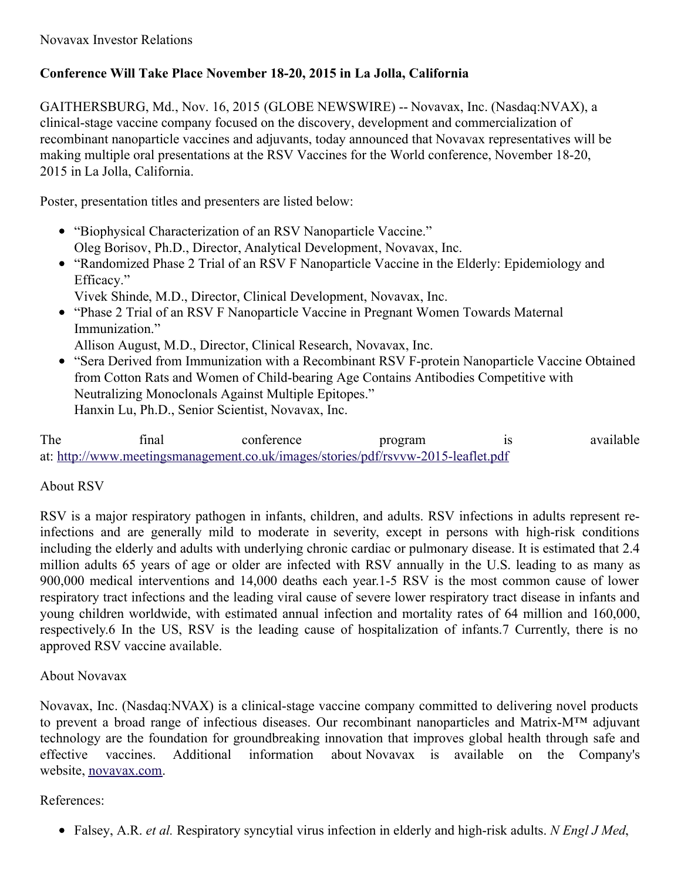## **Conference Will Take Place November 18-20, 2015 in La Jolla, California**

GAITHERSBURG, Md., Nov. 16, 2015 (GLOBE NEWSWIRE) -- Novavax, Inc. (Nasdaq:NVAX), a clinical-stage vaccine company focused on the discovery, development and commercialization of recombinant nanoparticle vaccines and adjuvants, today announced that Novavax representatives will be making multiple oral presentations at the RSV Vaccines for the World conference, November 18-20, 2015 in La Jolla, California.

Poster, presentation titles and presenters are listed below:

- "Biophysical Characterization of an RSV Nanoparticle Vaccine." Oleg Borisov, Ph.D., Director, Analytical Development, Novavax, Inc.
- "Randomized Phase 2 Trial of an RSV F Nanoparticle Vaccine in the Elderly: Epidemiology and Efficacy."
	- Vivek Shinde, M.D., Director, Clinical Development, Novavax, Inc.
- "Phase 2 Trial of an RSV F Nanoparticle Vaccine in Pregnant Women Towards Maternal Immunization."

Allison August, M.D., Director, Clinical Research, Novavax, Inc.

"Sera Derived from Immunization with a Recombinant RSV F-protein Nanoparticle Vaccine Obtained from Cotton Rats and Women of Child-bearing Age Contains Antibodies Competitive with Neutralizing Monoclonals Against Multiple Epitopes." Hanxin Lu, Ph.D., Senior Scientist, Novavax, Inc.

The final conference program is available at: [http://www.meetingsmanagement.co.uk/images/stories/pdf/rsvvw-2015-leaflet.pdf](http://www.globenewswire.com/Tracker?data=Nv_BHQaDbt_C-qE25185vcpU1fZZhIjluBj1L7oiBmVf4SVNLKzzGiCHLpF7n23OLzTEUT7r7hgahJ0kXSX756buLRo86hWF9nlAMq3Xvj-tq3MMxT3ad0P9WllLZBw-wVAfAxp2RXPGT8raUt5_q_VXO_rJRzgq7OIprEwfF2sEYpNkPggYevCgUgg2KlouYj2VpD-bwoo-HeBADI1HX5WDVE6hATlT-261DjNzliA=)

## About RSV

RSV is a major respiratory pathogen in infants, children, and adults. RSV infections in adults represent reinfections and are generally mild to moderate in severity, except in persons with high-risk conditions including the elderly and adults with underlying chronic cardiac or pulmonary disease. It is estimated that 2.4 million adults 65 years of age or older are infected with RSV annually in the U.S. leading to as many as 900,000 medical interventions and 14,000 deaths each year.1-5 RSV is the most common cause of lower respiratory tract infections and the leading viral cause of severe lower respiratory tract disease in infants and young children worldwide, with estimated annual infection and mortality rates of 64 million and 160,000, respectively.6 In the US, RSV is the leading cause of hospitalization of infants.7 Currently, there is no approved RSV vaccine available.

## About Novavax

Novavax, Inc. (Nasdaq:NVAX) is a clinical-stage vaccine company committed to delivering novel products to prevent a broad range of infectious diseases. Our recombinant nanoparticles and Matrix-M™ adjuvant technology are the foundation for groundbreaking innovation that improves global health through safe and effective vaccines. Additional information about Novavax is available on the Company's website, [novavax.com](http://www.globenewswire.com/Tracker?data=9phpYjwEzrLsGvUElAylHTOsEwTQz6o3HSeZ0j7F-QFXsn2nwcidXKCvHXJSADYcNwTW88tVJ2v8AHcndHfoIA==).

## References:

Falsey, A.R. *et al.* Respiratory syncytial virus infection in elderly and high-risk adults. *N Engl J Med*,